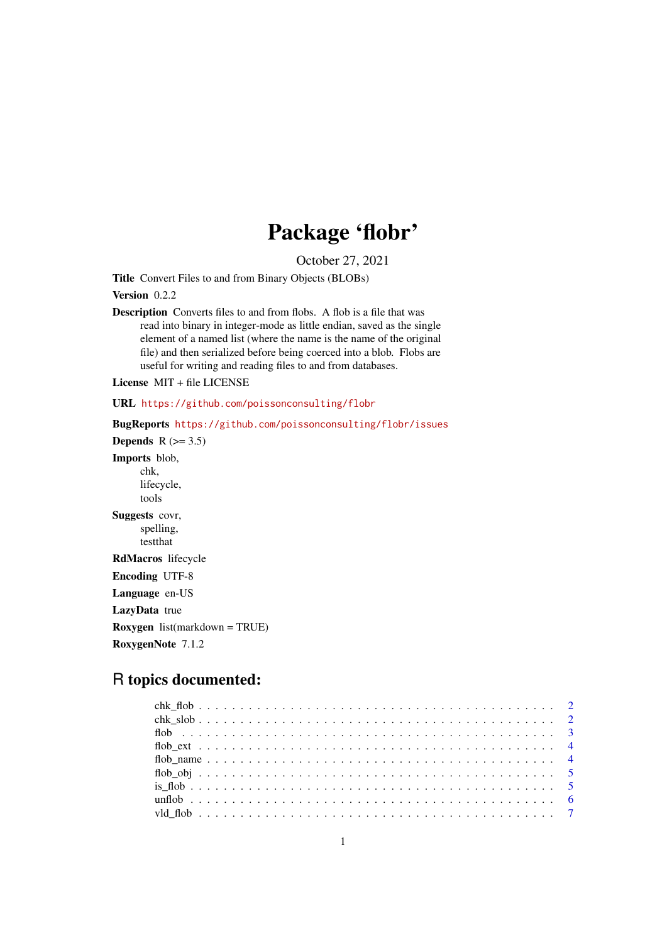## Package 'flobr'

October 27, 2021

<span id="page-0-0"></span>Title Convert Files to and from Binary Objects (BLOBs)

Version 0.2.2

Description Converts files to and from flobs. A flob is a file that was read into binary in integer-mode as little endian, saved as the single element of a named list (where the name is the name of the original file) and then serialized before being coerced into a blob. Flobs are useful for writing and reading files to and from databases.

License MIT + file LICENSE

URL <https://github.com/poissonconsulting/flobr>

BugReports <https://github.com/poissonconsulting/flobr/issues>

Depends  $R$  ( $>= 3.5$ ) Imports blob, chk, lifecycle, tools Suggests covr, spelling, testthat RdMacros lifecycle

Encoding UTF-8 Language en-US LazyData true Roxygen list(markdown = TRUE) RoxygenNote 7.1.2

### R topics documented: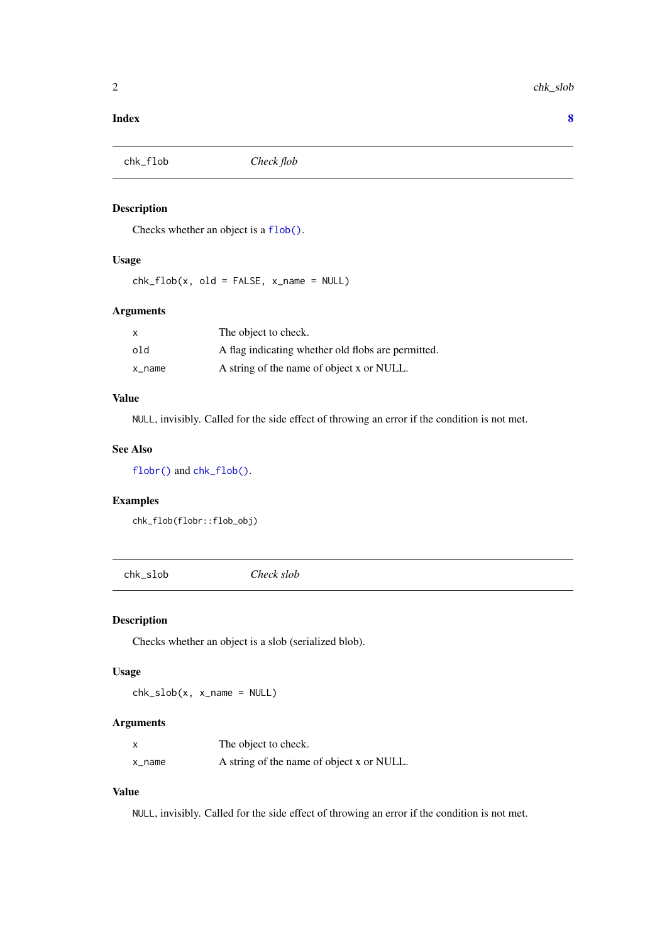#### <span id="page-1-0"></span>**Index** [8](#page-7-0) **8**

<span id="page-1-1"></span>

#### Description

Checks whether an object is a [flob\(\)](#page-2-1).

#### Usage

 $chk_flob(x, old = FALSE, x_name = NULL)$ 

#### Arguments

| x      | The object to check.                               |
|--------|----------------------------------------------------|
| old    | A flag indicating whether old flobs are permitted. |
| x_name | A string of the name of object x or NULL.          |

#### Value

NULL, invisibly. Called for the side effect of throwing an error if the condition is not met.

#### See Also

[flobr\(\)](#page-0-0) and [chk\\_flob\(\)](#page-1-1).

#### Examples

chk\_flob(flobr::flob\_obj)

<span id="page-1-2"></span>chk\_slob *Check slob*

#### Description

Checks whether an object is a slob (serialized blob).

#### Usage

 $chk_slob(x, x_name = NULL)$ 

#### Arguments

| x      | The object to check.                      |
|--------|-------------------------------------------|
| x_name | A string of the name of object x or NULL. |

#### Value

NULL, invisibly. Called for the side effect of throwing an error if the condition is not met.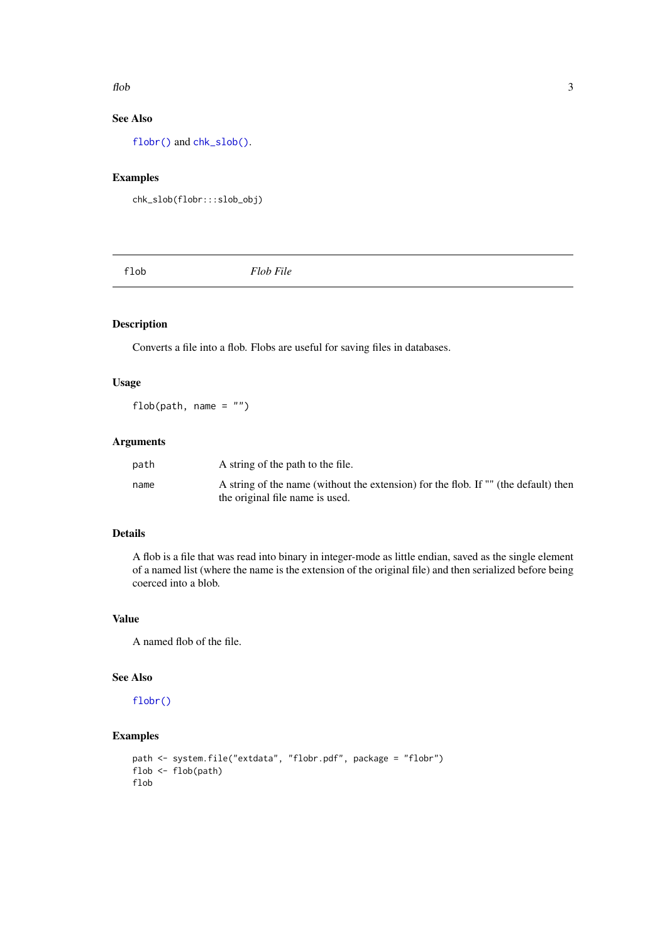#### <span id="page-2-0"></span> $flob$  3

#### See Also

[flobr\(\)](#page-0-0) and [chk\\_slob\(\)](#page-1-2).

#### Examples

```
chk_slob(flobr:::slob_obj)
```
<span id="page-2-1"></span>

flob *Flob File*

#### Description

Converts a file into a flob. Flobs are useful for saving files in databases.

#### Usage

flob(path, name = "")

#### Arguments

| path | A string of the path to the file.                                                   |
|------|-------------------------------------------------------------------------------------|
| name | A string of the name (without the extension) for the flob. If "" (the default) then |
|      | the original file name is used.                                                     |

#### Details

A flob is a file that was read into binary in integer-mode as little endian, saved as the single element of a named list (where the name is the extension of the original file) and then serialized before being coerced into a blob.

#### Value

A named flob of the file.

#### See Also

[flobr\(\)](#page-0-0)

#### Examples

```
path <- system.file("extdata", "flobr.pdf", package = "flobr")
flob <- flob(path)
flob
```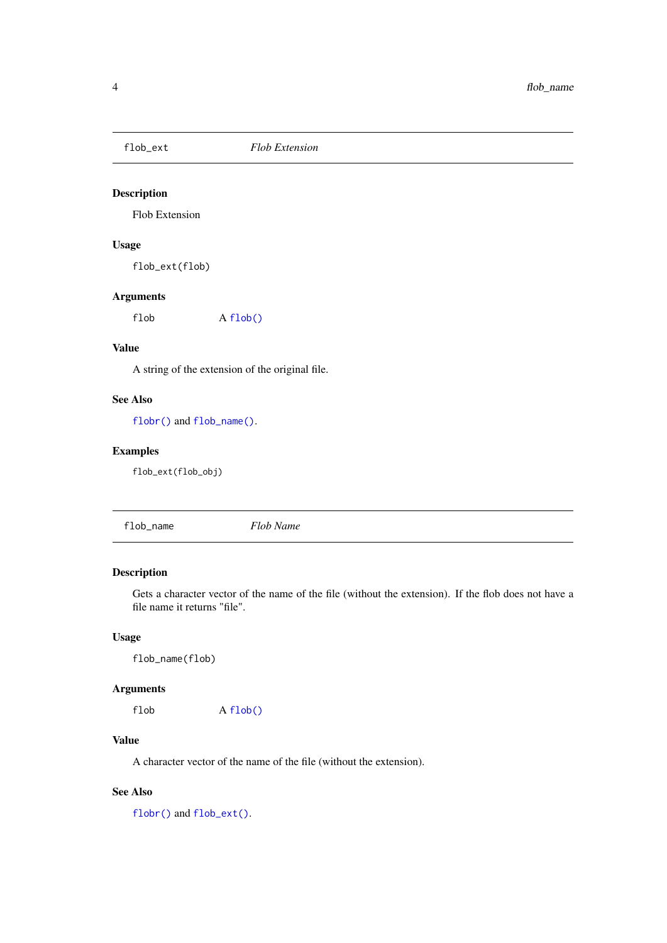<span id="page-3-2"></span><span id="page-3-0"></span>

#### Description

Flob Extension

#### Usage

flob\_ext(flob)

#### Arguments

flob A [flob\(\)](#page-2-1)

#### Value

A string of the extension of the original file.

#### See Also

[flobr\(\)](#page-0-0) and [flob\\_name\(\)](#page-3-1).

#### Examples

flob\_ext(flob\_obj)

<span id="page-3-1"></span>flob\_name *Flob Name*

#### Description

Gets a character vector of the name of the file (without the extension). If the flob does not have a file name it returns "file".

#### Usage

flob\_name(flob)

#### Arguments

flob A [flob\(\)](#page-2-1)

#### Value

A character vector of the name of the file (without the extension).

#### See Also

[flobr\(\)](#page-0-0) and [flob\\_ext\(\)](#page-3-2).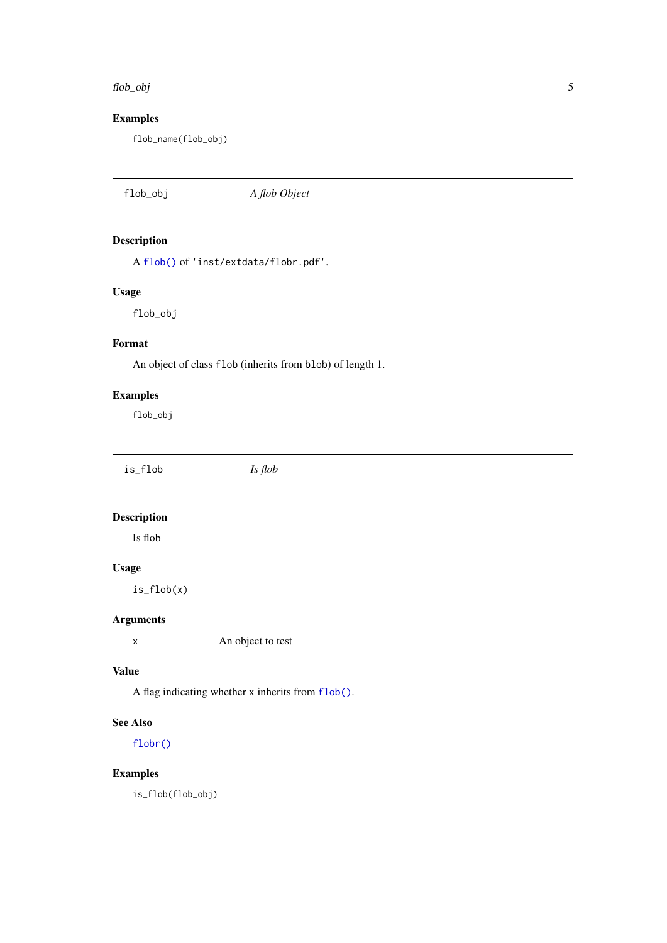#### <span id="page-4-0"></span>flob\_obj 5

#### Examples

flob\_name(flob\_obj)

```
flob_obj A flob Object
```
#### Description

A [flob\(\)](#page-2-1) of 'inst/extdata/flobr.pdf'.

#### Usage

flob\_obj

#### Format

An object of class flob (inherits from blob) of length 1.

#### Examples

flob\_obj

| is_flob | Is flob |  |  |
|---------|---------|--|--|
|---------|---------|--|--|

#### Description

Is flob

#### Usage

is\_flob(x)

#### Arguments

x An object to test

#### Value

A flag indicating whether x inherits from [flob\(\)](#page-2-1).

#### See Also

[flobr\(\)](#page-0-0)

#### Examples

is\_flob(flob\_obj)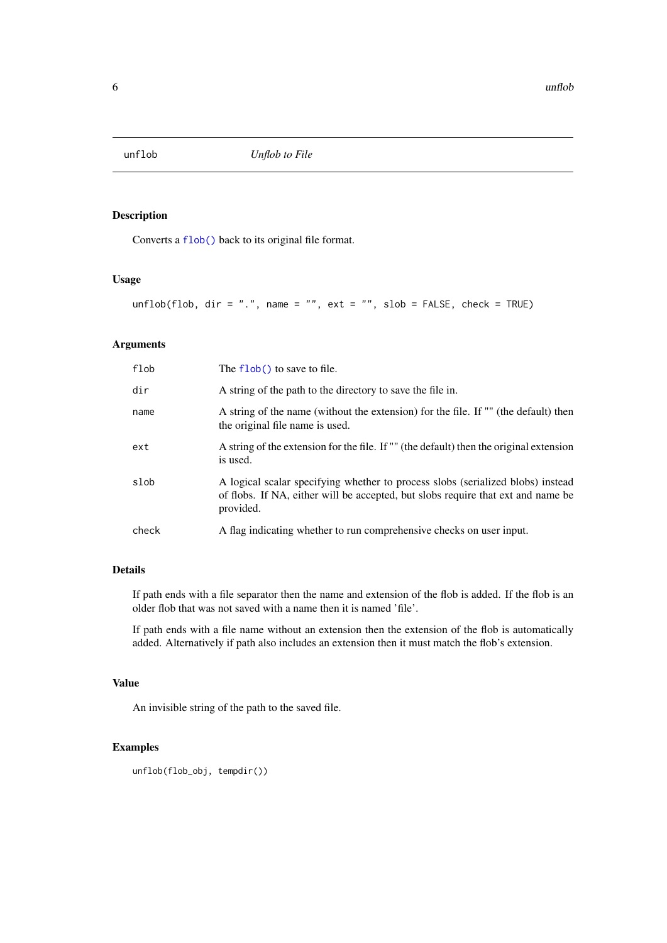<span id="page-5-0"></span>

#### Description

Converts a [flob\(\)](#page-2-1) back to its original file format.

#### Usage

unflob(flob, dir = ".", name = "", ext = "", slob = FALSE, check = TRUE)

#### Arguments

| flob  | The $flob()$ to save to file.                                                                                                                                                    |
|-------|----------------------------------------------------------------------------------------------------------------------------------------------------------------------------------|
| dir   | A string of the path to the directory to save the file in.                                                                                                                       |
| name  | A string of the name (without the extension) for the file. If "" (the default) then<br>the original file name is used.                                                           |
| ext   | A string of the extension for the file. If "" (the default) then the original extension<br>is used.                                                                              |
| slob  | A logical scalar specifying whether to process slobs (serialized blobs) instead<br>of flobs. If NA, either will be accepted, but slobs require that ext and name be<br>provided. |
| check | A flag indicating whether to run comprehensive checks on user input.                                                                                                             |

#### Details

If path ends with a file separator then the name and extension of the flob is added. If the flob is an older flob that was not saved with a name then it is named 'file'.

If path ends with a file name without an extension then the extension of the flob is automatically added. Alternatively if path also includes an extension then it must match the flob's extension.

#### Value

An invisible string of the path to the saved file.

#### Examples

```
unflob(flob_obj, tempdir())
```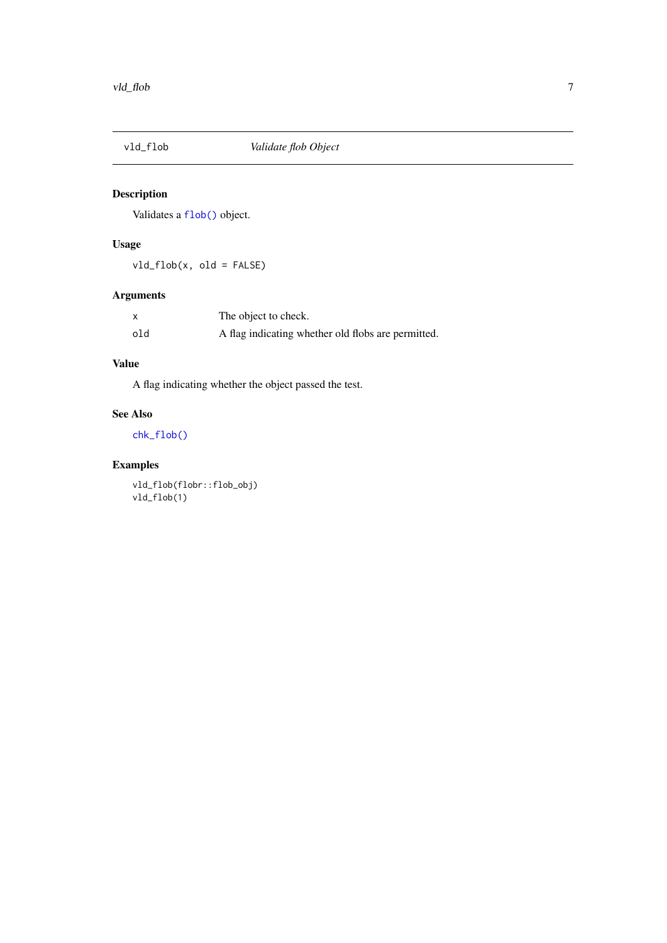<span id="page-6-0"></span>

#### Description

Validates a [flob\(\)](#page-2-1) object.

#### Usage

vld\_flob(x, old = FALSE)

#### Arguments

|     | The object to check.                               |
|-----|----------------------------------------------------|
| old | A flag indicating whether old flobs are permitted. |

#### Value

A flag indicating whether the object passed the test.

#### See Also

[chk\\_flob\(\)](#page-1-1)

#### Examples

vld\_flob(flobr::flob\_obj) vld\_flob(1)